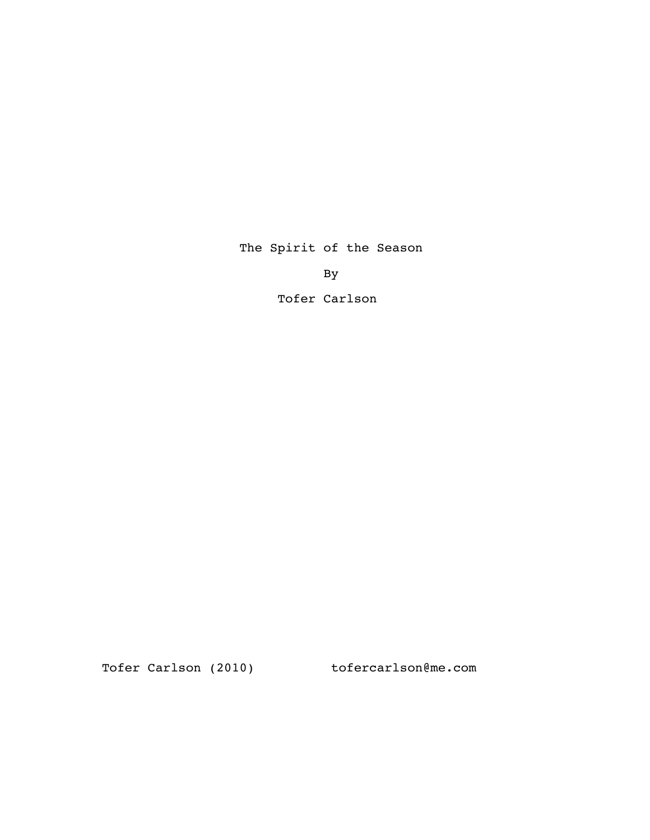The Spirit of the Season

By

Tofer Carlson

Tofer Carlson (2010) tofercarlson@me.com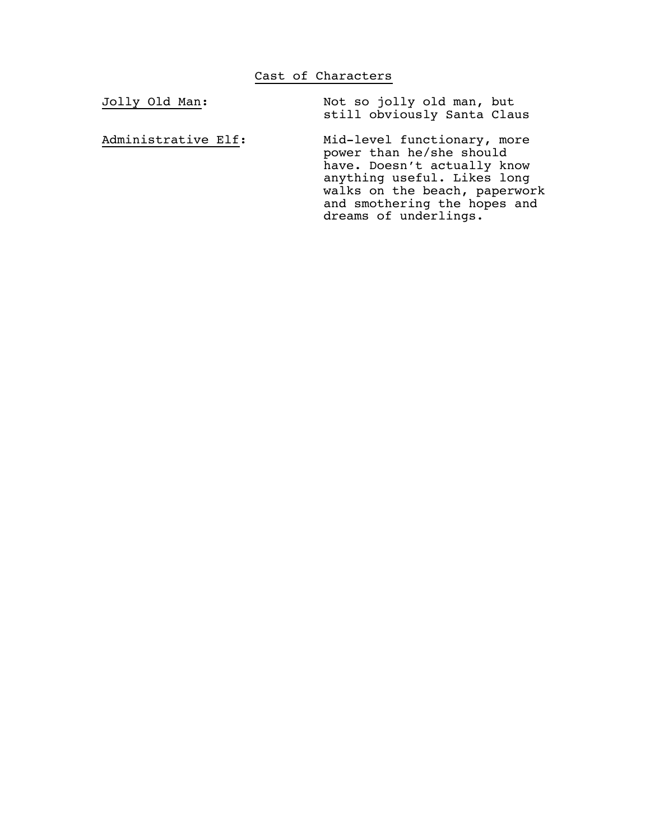Jolly Old Man: Not so jolly old man, but still obviously Santa Claus

Administrative Elf: Mid-level functionary, more power than he/she should have. Doesn't actually know anything useful. Likes long walks on the beach, paperwork and smothering the hopes and dreams of underlings.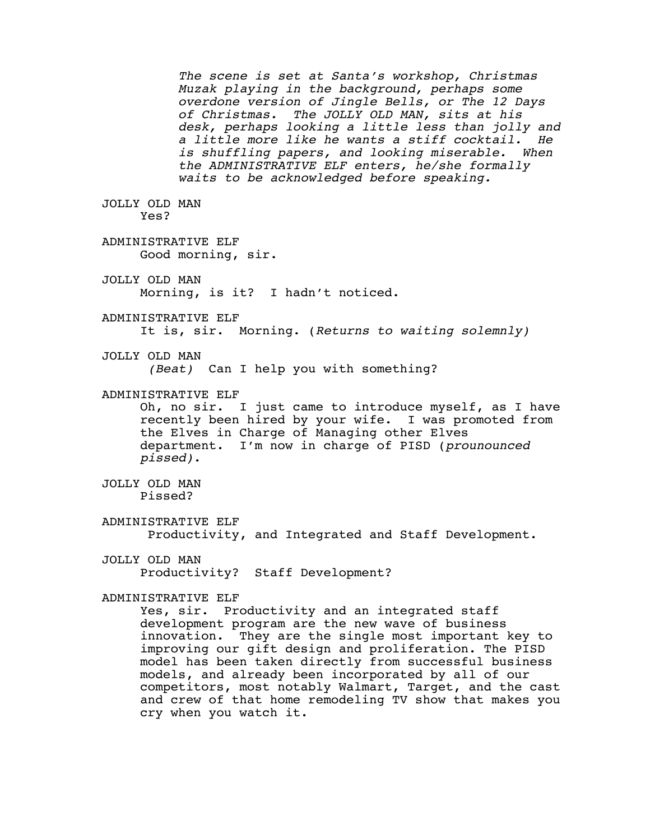The scene is set at Santa's workshop, Christmas<br>Muzak playing in the background, perhaps some<br>overdone version of Jingle Bells, or The 12 Days<br>of Christmas. The JOLLY OLD MAN, sits at his<br>desk, perhaps looking a little les JOLLY OLD MAN Yes? ADMINISTRATIVE ELF Good morning, sir. JOLLY OLD MAN Morning, is it? I hadn't noticed. ADMINISTRATIVE ELF It is, sir. Morning. (*Returns to waiting solemnly)* JOLLY OLD MAN *(Beat)* Can I help you with something? ADMINISTRATIVE ELF Oh, no sir. I just came to introduce myself, as I have recently been hired by your wife. I was promoted from the Elves in Charge of Managing other Elves department. I'm now in charge of PISD (*prounounced pissed)*. JOLLY OLD MAN Pissed? ADMINISTRATIVE ELF Productivity, and Integrated and Staff Development. JOLLY OLD MAN Productivity? Staff Development? ADMINISTRATIVE ELF Yes, sir. Productivity and an integrated staff development program are the new wave of business innovation. They are the single most important key to improving our gift design and proliferation. The PISD model has been taken directly from successful business models, and already been incorporated by all of our competitors, most notably Walmart, Target, and the cast and crew of that home remodeling TV show that makes you cry when you watch it.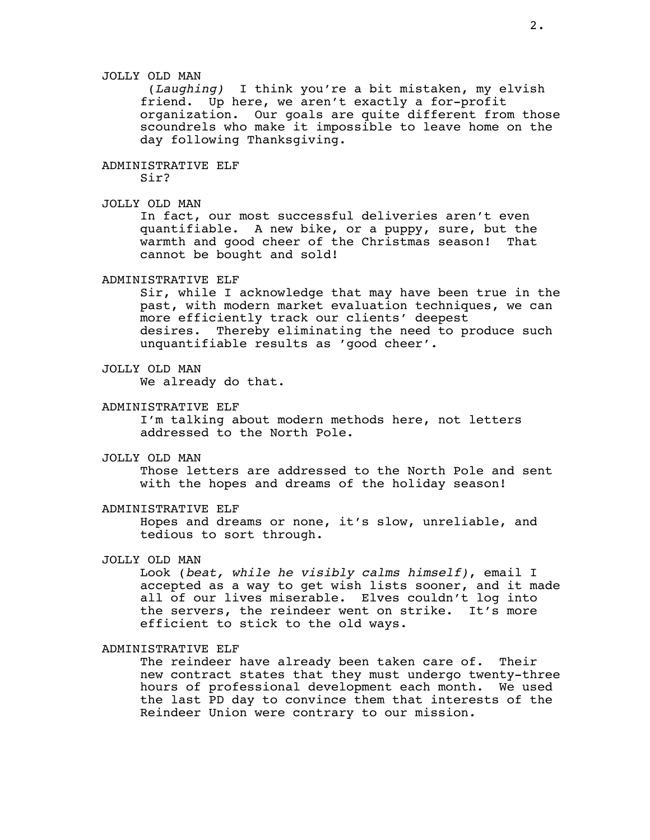# JOLLY OLD MAN

 (*Laughing)* I think you're a bit mistaken, my elvish friend. Up here, we aren't exactly a for-profit organization. Our goals are quite different from those scoundrels who make it impossible to leave home on the day following Thanksgiving.

# ADMINISTRATIVE ELF

Sir?

# JOLLY OLD MAN

 In fact, our most successful deliveries aren't even quantifiable. A new bike, or a puppy, sure, but the warmth and good cheer of the Christmas season! That cannot be bought and sold!

## ADMINISTRATIVE ELF

 Sir, while I acknowledge that may have been true in the past, with modern market evaluation techniques, we can more efficiently track our clients' deepest desires. Thereby eliminating the need to produce such unquantifiable results as 'good cheer'.

## JOLLY OLD MAN

We already do that.

### ADMINISTRATIVE ELF

 I'm talking about modern methods here, not letters addressed to the North Pole.

JOLLY OLD MAN

 Those letters are addressed to the North Pole and sent with the hopes and dreams of the holiday season!

### ADMINISTRATIVE ELF

 Hopes and dreams or none, it's slow, unreliable, and tedious to sort through.

# JOLLY OLD MAN

 Look (*beat, while he visibly calms himself)*, email I accepted as a way to get wish lists sooner, and it made all of our lives miserable. Elves couldn't log into the servers, the reindeer went on strike. It's more efficient to stick to the old ways.

#### ADMINISTRATIVE ELF

 The reindeer have already been taken care of. Their new contract states that they must undergo twenty-three hours of professional development each month. We used the last PD day to convince them that interests of the Reindeer Union were contrary to our mission.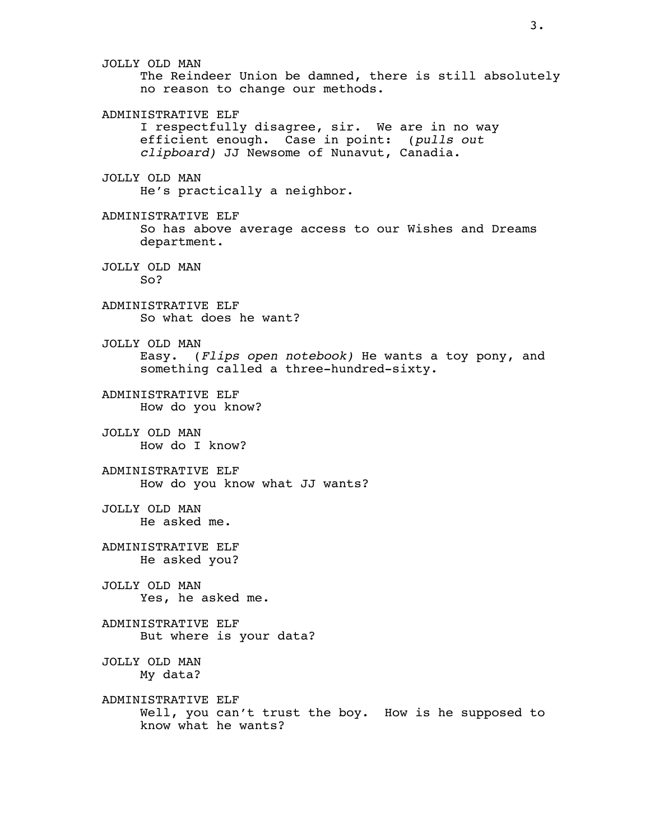JOLLY OLD MAN The Reindeer Union be damned, there is still absolutely no reason to change our methods. ADMINISTRATIVE ELF I respectfully disagree, sir. We are in no way efficient enough. Case in point: (*pulls out clipboard)* JJ Newsome of Nunavut, Canadia. JOLLY OLD MAN He's practically a neighbor. ADMINISTRATIVE ELF So has above average access to our Wishes and Dreams department. JOLLY OLD MAN So? ADMINISTRATIVE ELF So what does he want? JOLLY OLD MAN Easy. (*Flips open notebook)* He wants a toy pony, and something called a three-hundred-sixty. ADMINISTRATIVE ELF How do you know? JOLLY OLD MAN How do I know? ADMINISTRATIVE ELF How do you know what JJ wants? JOLLY OLD MAN He asked me. ADMINISTRATIVE ELF He asked you? JOLLY OLD MAN Yes, he asked me. ADMINISTRATIVE ELF But where is your data? JOLLY OLD MAN My data? ADMINISTRATIVE ELF Well, you can't trust the boy. How is he supposed to know what he wants?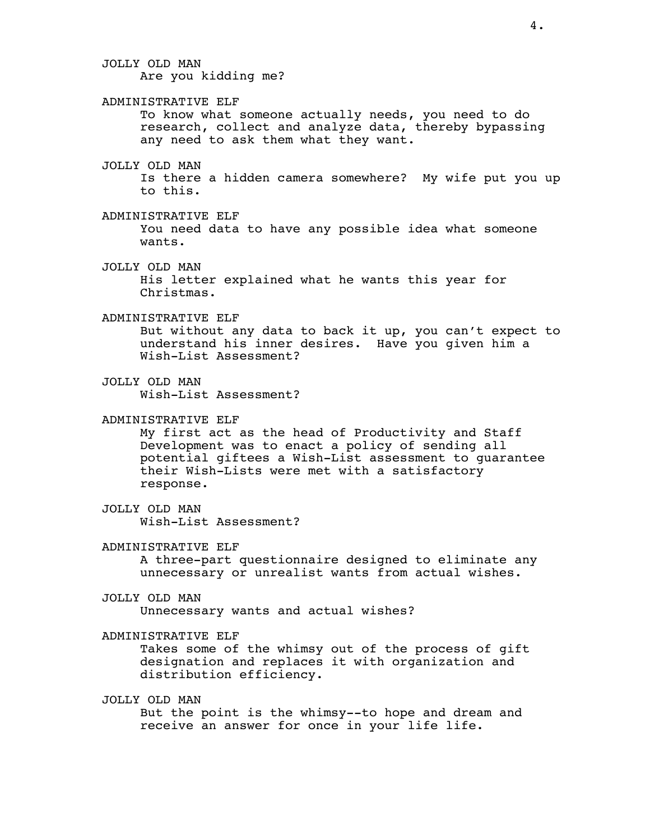JOLLY OLD MAN Are you kidding me? ADMINISTRATIVE ELF To know what someone actually needs, you need to do research, collect and analyze data, thereby bypassing any need to ask them what they want. JOLLY OLD MAN Is there a hidden camera somewhere? My wife put you up to this. ADMINISTRATIVE ELF You need data to have any possible idea what someone wants. JOLLY OLD MAN His letter explained what he wants this year for Christmas. ADMINISTRATIVE ELF But without any data to back it up, you can't expect to understand his inner desires. Have you given him a Wish-List Assessment? JOLLY OLD MAN Wish-List Assessment? ADMINISTRATIVE ELF My first act as the head of Productivity and Staff Development was to enact a policy of sending all potential giftees a Wish-List assessment to guarantee their Wish-Lists were met with a satisfactory response. JOLLY OLD MAN Wish-List Assessment? ADMINISTRATIVE ELF A three-part questionnaire designed to eliminate any unnecessary or unrealist wants from actual wishes. JOLLY OLD MAN Unnecessary wants and actual wishes? ADMINISTRATIVE ELF Takes some of the whimsy out of the process of gift designation and replaces it with organization and distribution efficiency. JOLLY OLD MAN But the point is the whimsy--to hope and dream and

receive an answer for once in your life life.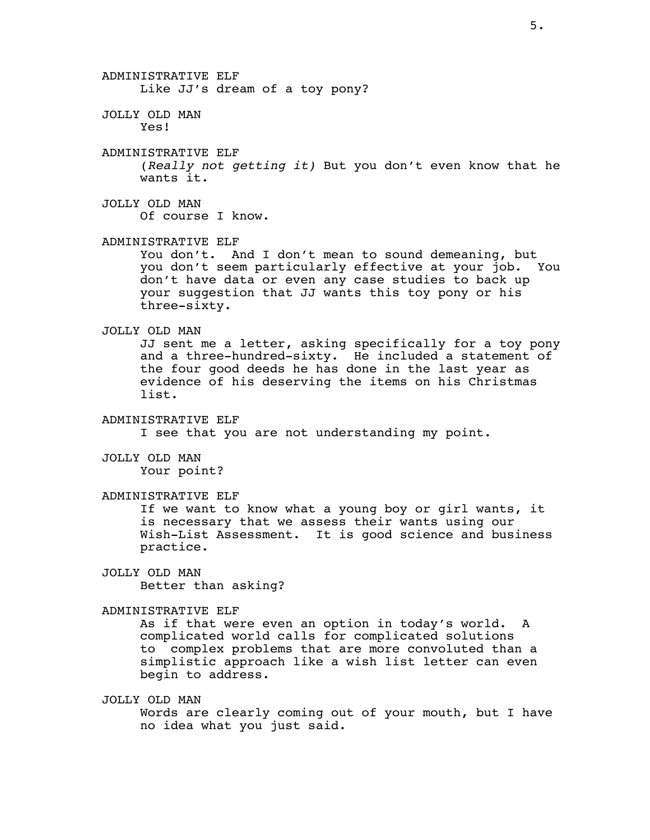ADMINISTRATIVE ELF Like JJ's dream of a toy pony? JOLLY OLD MAN Yes! ADMINISTRATIVE ELF (*Really not getting it)* But you don't even know that he wants it. JOLLY OLD MAN Of course I know. ADMINISTRATIVE ELF You don't. And I don't mean to sound demeaning, but you don't seem particularly effective at your job. You don't have data or even any case studies to back up your suggestion that JJ wants this toy pony or his three-sixty. JOLLY OLD MAN JJ sent me a letter, asking specifically for a toy pony and a three-hundred-sixty. He included a statement of the four good deeds he has done in the last year as evidence of his deserving the items on his Christmas list. ADMINISTRATIVE ELF I see that you are not understanding my point. JOLLY OLD MAN Your point? ADMINISTRATIVE ELF If we want to know what a young boy or girl wants, it is necessary that we assess their wants using our Wish-List Assessment. It is good science and business practice. JOLLY OLD MAN Better than asking? ADMINISTRATIVE ELF As if that were even an option in today's world. complicated world calls for complicated solutions to complex problems that are more convoluted than a simplistic approach like a wish list letter can even begin to address. JOLLY OLD MAN Words are clearly coming out of your mouth, but I have no idea what you just said.